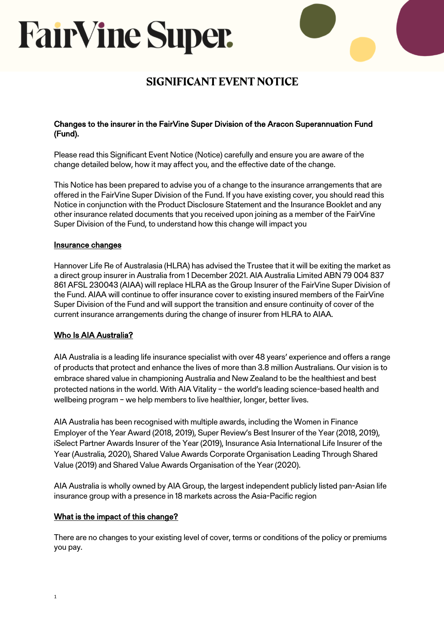# **FairVine Super.**

### SIGNIFICANT EVENT NOTICE

#### Changes to the insurer in the FairVine Super Division of the Aracon Superannuation Fund (Fund).

Please read this Significant Event Notice (Notice) carefully and ensure you are aware of the change detailed below, how it may affect you, and the effective date of the change.

This Notice has been prepared to advise you of a change to the insurance arrangements that are offered in the FairVine Super Division of the Fund. If you have existing cover, you should read this Notice in conjunction with the Product Disclosure Statement and the Insurance Booklet and any other insurance related documents that you received upon joining as a member of the FairVine Super Division of the Fund, to understand how this change will impact you

#### Insurance changes

Hannover Life Re of Australasia (HLRA) has advised the Trustee that it will be exiting the market as a direct group insurer in Australia from 1 December 2021. AIA Australia Limited ABN 79 004 837 861 AFSL 230043 (AIAA) will replace HLRA as the Group Insurer of the FairVine Super Division of the Fund. AIAA will continue to offer insurance cover to existing insured members of the FairVine Super Division of the Fund and will support the transition and ensure continuity of cover of the current insurance arrangements during the change of insurer from HLRA to AIAA.

### Who Is AIA Australia?

AIA Australia is a leading life insurance specialist with over 48 years' experience and offers a range of products that protect and enhance the lives of more than 3.8 million Australians. Our vision is to embrace shared value in championing Australia and New Zealand to be the healthiest and best protected nations in the world. With AIA Vitality – the world's leading science-based health and wellbeing program – we help members to live healthier, longer, better lives.

AIA Australia has been recognised with multiple awards, including the Women in Finance Employer of the Year Award (2018, 2019), Super Review's Best Insurer of the Year (2018, 2019), iSelect Partner Awards Insurer of the Year (2019), Insurance Asia International Life Insurer of the Year (Australia, 2020), Shared Value Awards Corporate Organisation Leading Through Shared Value (2019) and Shared Value Awards Organisation of the Year (2020).

AIA Australia is wholly owned by AIA Group, the largest independent publicly listed pan-Asian life insurance group with a presence in 18 markets across the Asia-Pacific region

#### What is the impact of this change?

There are no changes to your existing level of cover, terms or conditions of the policy or premiums you pay.